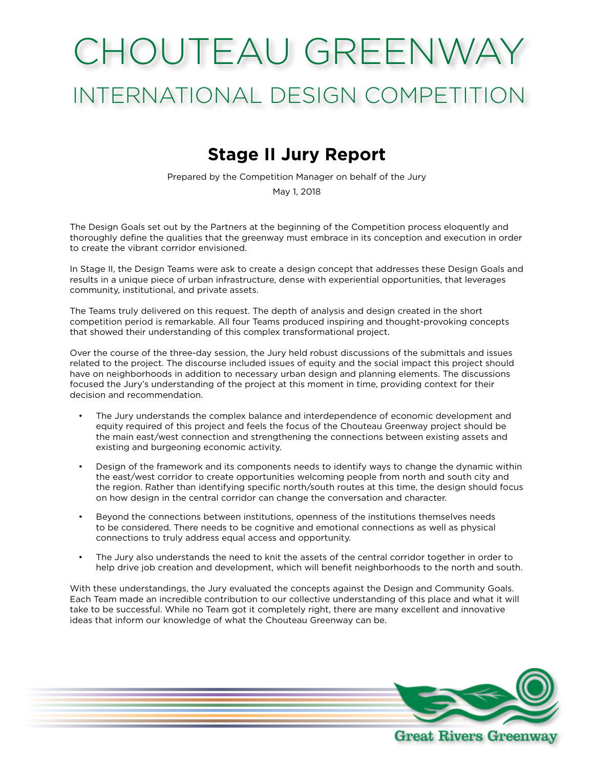# CHOUTEAU GREENWAY INTERNATIONAL DESIGN COMPETITION

# **Stage II Jury Report**

Prepared by the Competition Manager on behalf of the Jury

May 1, 2018

The Design Goals set out by the Partners at the beginning of the Competition process eloquently and thoroughly define the qualities that the greenway must embrace in its conception and execution in order to create the vibrant corridor envisioned.

In Stage II, the Design Teams were ask to create a design concept that addresses these Design Goals and results in a unique piece of urban infrastructure, dense with experiential opportunities, that leverages community, institutional, and private assets.

The Teams truly delivered on this request. The depth of analysis and design created in the short competition period is remarkable. All four Teams produced inspiring and thought-provoking concepts that showed their understanding of this complex transformational project.

Over the course of the three-day session, the Jury held robust discussions of the submittals and issues related to the project. The discourse included issues of equity and the social impact this project should have on neighborhoods in addition to necessary urban design and planning elements. The discussions focused the Jury's understanding of the project at this moment in time, providing context for their decision and recommendation.

- The Jury understands the complex balance and interdependence of economic development and equity required of this project and feels the focus of the Chouteau Greenway project should be the main east/west connection and strengthening the connections between existing assets and existing and burgeoning economic activity.
- Design of the framework and its components needs to identify ways to change the dynamic within the east/west corridor to create opportunities welcoming people from north and south city and the region. Rather than identifying specific north/south routes at this time, the design should focus on how design in the central corridor can change the conversation and character.
- Beyond the connections between institutions, openness of the institutions themselves needs to be considered. There needs to be cognitive and emotional connections as well as physical connections to truly address equal access and opportunity.
- The Jury also understands the need to knit the assets of the central corridor together in order to help drive job creation and development, which will benefit neighborhoods to the north and south.

With these understandings, the Jury evaluated the concepts against the Design and Community Goals. Each Team made an incredible contribution to our collective understanding of this place and what it will take to be successful. While no Team got it completely right, there are many excellent and innovative ideas that inform our knowledge of what the Chouteau Greenway can be.

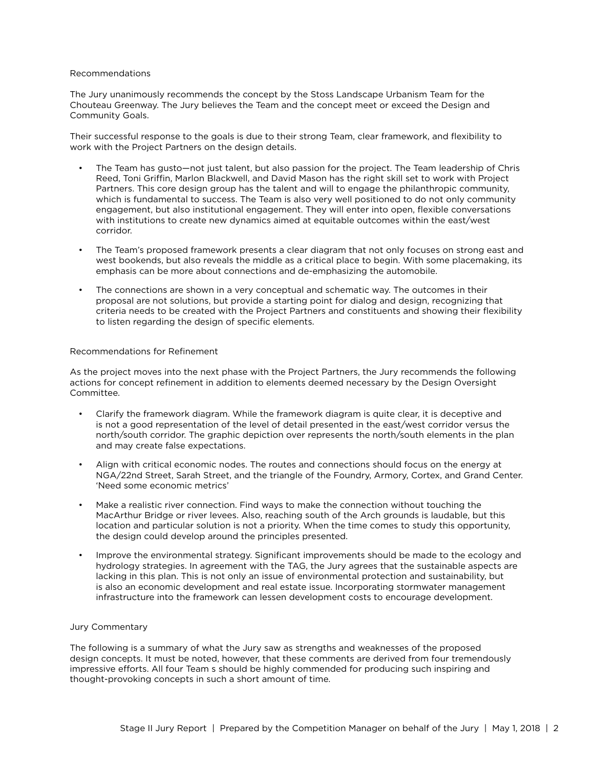#### Recommendations

The Jury unanimously recommends the concept by the Stoss Landscape Urbanism Team for the Chouteau Greenway. The Jury believes the Team and the concept meet or exceed the Design and Community Goals.

Their successful response to the goals is due to their strong Team, clear framework, and flexibility to work with the Project Partners on the design details.

- The Team has gusto—not just talent, but also passion for the project. The Team leadership of Chris Reed, Toni Griffin, Marlon Blackwell, and David Mason has the right skill set to work with Project Partners. This core design group has the talent and will to engage the philanthropic community, which is fundamental to success. The Team is also very well positioned to do not only community engagement, but also institutional engagement. They will enter into open, flexible conversations with institutions to create new dynamics aimed at equitable outcomes within the east/west corridor.
- The Team's proposed framework presents a clear diagram that not only focuses on strong east and west bookends, but also reveals the middle as a critical place to begin. With some placemaking, its emphasis can be more about connections and de-emphasizing the automobile.
- The connections are shown in a very conceptual and schematic way. The outcomes in their proposal are not solutions, but provide a starting point for dialog and design, recognizing that criteria needs to be created with the Project Partners and constituents and showing their flexibility to listen regarding the design of specific elements.

#### Recommendations for Refinement

As the project moves into the next phase with the Project Partners, the Jury recommends the following actions for concept refinement in addition to elements deemed necessary by the Design Oversight Committee.

- Clarify the framework diagram. While the framework diagram is quite clear, it is deceptive and is not a good representation of the level of detail presented in the east/west corridor versus the north/south corridor. The graphic depiction over represents the north/south elements in the plan and may create false expectations.
- Align with critical economic nodes. The routes and connections should focus on the energy at NGA/22nd Street, Sarah Street, and the triangle of the Foundry, Armory, Cortex, and Grand Center. 'Need some economic metrics'
- Make a realistic river connection. Find ways to make the connection without touching the MacArthur Bridge or river levees. Also, reaching south of the Arch grounds is laudable, but this location and particular solution is not a priority. When the time comes to study this opportunity, the design could develop around the principles presented.
- Improve the environmental strategy. Significant improvements should be made to the ecology and hydrology strategies. In agreement with the TAG, the Jury agrees that the sustainable aspects are lacking in this plan. This is not only an issue of environmental protection and sustainability, but is also an economic development and real estate issue. Incorporating stormwater management infrastructure into the framework can lessen development costs to encourage development.

#### Jury Commentary

The following is a summary of what the Jury saw as strengths and weaknesses of the proposed design concepts. It must be noted, however, that these comments are derived from four tremendously impressive efforts. All four Team s should be highly commended for producing such inspiring and thought-provoking concepts in such a short amount of time.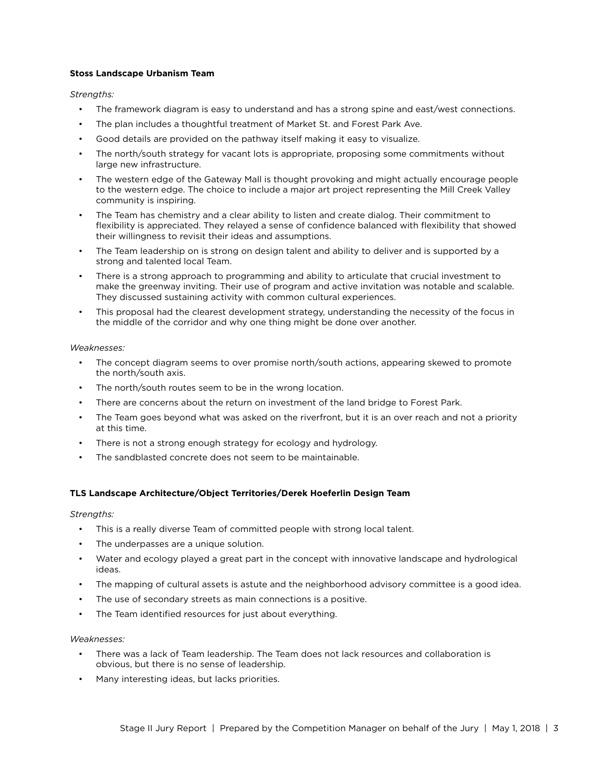#### **Stoss Landscape Urbanism Team**

*Strengths:*

- The framework diagram is easy to understand and has a strong spine and east/west connections.
- The plan includes a thoughtful treatment of Market St. and Forest Park Ave.
- Good details are provided on the pathway itself making it easy to visualize.
- The north/south strategy for vacant lots is appropriate, proposing some commitments without large new infrastructure.
- The western edge of the Gateway Mall is thought provoking and might actually encourage people to the western edge. The choice to include a major art project representing the Mill Creek Valley community is inspiring.
- The Team has chemistry and a clear ability to listen and create dialog. Their commitment to flexibility is appreciated. They relayed a sense of confidence balanced with flexibility that showed their willingness to revisit their ideas and assumptions.
- The Team leadership on is strong on design talent and ability to deliver and is supported by a strong and talented local Team.
- There is a strong approach to programming and ability to articulate that crucial investment to make the greenway inviting. Their use of program and active invitation was notable and scalable. They discussed sustaining activity with common cultural experiences.
- This proposal had the clearest development strategy, understanding the necessity of the focus in the middle of the corridor and why one thing might be done over another.

#### *Weaknesses:*

- The concept diagram seems to over promise north/south actions, appearing skewed to promote the north/south axis.
- The north/south routes seem to be in the wrong location.
- There are concerns about the return on investment of the land bridge to Forest Park.
- The Team goes beyond what was asked on the riverfront, but it is an over reach and not a priority at this time.
- There is not a strong enough strategy for ecology and hydrology.
- The sandblasted concrete does not seem to be maintainable.

## **TLS Landscape Architecture/Object Territories/Derek Hoeferlin Design Team**

*Strengths:*

- This is a really diverse Team of committed people with strong local talent.
- The underpasses are a unique solution.
- Water and ecology played a great part in the concept with innovative landscape and hydrological ideas.
- The mapping of cultural assets is astute and the neighborhood advisory committee is a good idea.
- The use of secondary streets as main connections is a positive.
- The Team identified resources for just about everything.

#### *Weaknesses:*

- There was a lack of Team leadership. The Team does not lack resources and collaboration is obvious, but there is no sense of leadership.
- Many interesting ideas, but lacks priorities.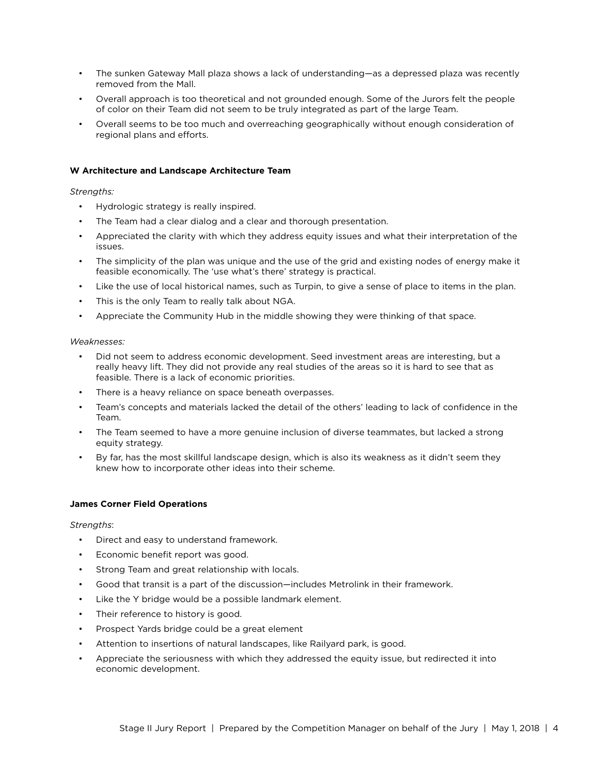- The sunken Gateway Mall plaza shows a lack of understanding—as a depressed plaza was recently removed from the Mall.
- Overall approach is too theoretical and not grounded enough. Some of the Jurors felt the people of color on their Team did not seem to be truly integrated as part of the large Team.
- Overall seems to be too much and overreaching geographically without enough consideration of regional plans and efforts.

### **W Architecture and Landscape Architecture Team**

#### *Strengths:*

- Hydrologic strategy is really inspired.
- The Team had a clear dialog and a clear and thorough presentation.
- Appreciated the clarity with which they address equity issues and what their interpretation of the issues.
- The simplicity of the plan was unique and the use of the grid and existing nodes of energy make it feasible economically. The 'use what's there' strategy is practical.
- Like the use of local historical names, such as Turpin, to give a sense of place to items in the plan.
- This is the only Team to really talk about NGA.
- Appreciate the Community Hub in the middle showing they were thinking of that space.

#### *Weaknesses:*

- Did not seem to address economic development. Seed investment areas are interesting, but a really heavy lift. They did not provide any real studies of the areas so it is hard to see that as feasible. There is a lack of economic priorities.
- There is a heavy reliance on space beneath overpasses.
- Team's concepts and materials lacked the detail of the others' leading to lack of confidence in the Team.
- The Team seemed to have a more genuine inclusion of diverse teammates, but lacked a strong equity strategy.
- By far, has the most skillful landscape design, which is also its weakness as it didn't seem they knew how to incorporate other ideas into their scheme.

#### **James Corner Field Operations**

#### *Strengths*:

- Direct and easy to understand framework.
- Economic benefit report was good.
- Strong Team and great relationship with locals.
- Good that transit is a part of the discussion—includes Metrolink in their framework.
- Like the Y bridge would be a possible landmark element.
- Their reference to history is good.
- Prospect Yards bridge could be a great element
- Attention to insertions of natural landscapes, like Railyard park, is good.
- Appreciate the seriousness with which they addressed the equity issue, but redirected it into economic development.